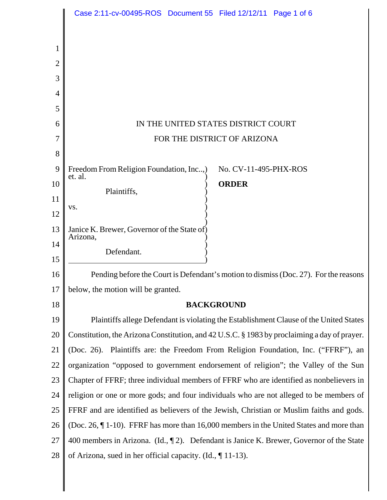|                | Case 2:11-cv-00495-ROS Document 55 Filed 12/12/11 Page 1 of 6                                |
|----------------|----------------------------------------------------------------------------------------------|
|                |                                                                                              |
| 1              |                                                                                              |
| $\overline{2}$ |                                                                                              |
| 3              |                                                                                              |
| 4              |                                                                                              |
| 5              |                                                                                              |
| 6              | IN THE UNITED STATES DISTRICT COURT                                                          |
| 7              | FOR THE DISTRICT OF ARIZONA                                                                  |
| 8              |                                                                                              |
| 9              | Freedom From Religion Foundation, Inc,)<br>No. CV-11-495-PHX-ROS                             |
| 10             | et. al.<br><b>ORDER</b>                                                                      |
| 11             | Plaintiffs,                                                                                  |
| 12             | VS.                                                                                          |
| 13             | Janice K. Brewer, Governor of the State of)                                                  |
| 14             | Arizona,                                                                                     |
| 15             | Defendant.                                                                                   |
| 16             | Pending before the Court is Defendant's motion to dismiss (Doc. 27). For the reasons         |
| 17             | below, the motion will be granted.                                                           |
| 18             | <b>BACKGROUND</b>                                                                            |
| 19             | Plaintiffs allege Defendant is violating the Establishment Clause of the United States       |
| 20             | Constitution, the Arizona Constitution, and 42 U.S.C. § 1983 by proclaiming a day of prayer. |
| 21             | (Doc. 26). Plaintiffs are: the Freedom From Religion Foundation, Inc. ("FFRF"), an           |
| 22             | organization "opposed to government endorsement of religion"; the Valley of the Sun          |
| 23             | Chapter of FFRF; three individual members of FFRF who are identified as nonbelievers in      |
| 24             | religion or one or more gods; and four individuals who are not alleged to be members of      |
| 25             | FFRF and are identified as believers of the Jewish, Christian or Muslim faiths and gods.     |
| 26             | (Doc. 26, $\P$ 1-10). FFRF has more than 16,000 members in the United States and more than   |
| 27             | 400 members in Arizona. (Id., $\P$ 2). Defendant is Janice K. Brewer, Governor of the State  |
| 28             | of Arizona, sued in her official capacity. (Id., $\P$ 11-13).                                |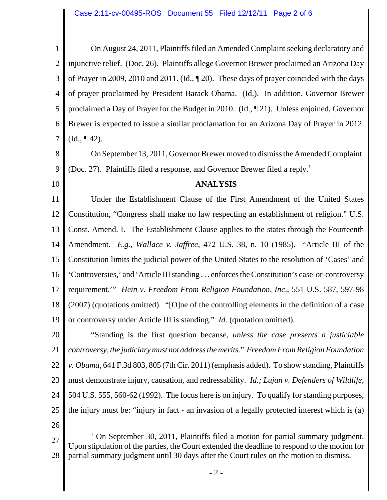1 2 3 4 5 6 7 On August 24, 2011, Plaintiffs filed an Amended Complaint seeking declaratory and injunctive relief. (Doc. 26). Plaintiffs allege Governor Brewer proclaimed an Arizona Day of Prayer in 2009, 2010 and 2011. (Id., ¶ 20). These days of prayer coincided with the days of prayer proclaimed by President Barack Obama. (Id.). In addition, Governor Brewer proclaimed a Day of Prayer for the Budget in 2010. (Id., ¶ 21). Unless enjoined, Governor Brewer is expected to issue a similar proclamation for an Arizona Day of Prayer in 2012.  $(Id., \P 42).$ 

8 9 On September 13, 2011, Governor Brewer moved to dismiss the Amended Complaint. (Doc. 27). Plaintiffs filed a response, and Governor Brewer filed a reply.<sup>1</sup>

10

## **ANALYSIS**

11 12 13 14 15 16 17 18 19 Under the Establishment Clause of the First Amendment of the United States Constitution, "Congress shall make no law respecting an establishment of religion." U.S. Const. Amend. I. The Establishment Clause applies to the states through the Fourteenth Amendment. *E.g., Wallace v. Jaffree*, 472 U.S. 38, n. 10 (1985). "Article III of the Constitution limits the judicial power of the United States to the resolution of 'Cases' and 'Controversies,' and 'Article III standing . . . enforces the Constitution's case-or-controversy requirement.'" *Hein v. Freedom From Religion Foundation, Inc*., 551 U.S. 587, 597-98 (2007) (quotations omitted). "[O]ne of the controlling elements in the definition of a case or controversy under Article III is standing." *Id.* (quotation omitted).

20 21 22 23 24 25 "Standing is the first question because, *unless the case presents a justiciable controversy, the judiciary must not address the merits.*" *Freedom From Religion Foundation v. Obama*, 641 F.3d 803, 805 (7th Cir. 2011) (emphasis added). To show standing, Plaintiffs must demonstrate injury, causation, and redressability. *Id.; Lujan v. Defenders of Wildlife*, 504 U.S. 555, 560-62 (1992). The focus here is on injury. To qualify for standing purposes, the injury must be: "injury in fact - an invasion of a legally protected interest which is (a)

26

27 28 <sup>1</sup> On September 30, 2011, Plaintiffs filed a motion for partial summary judgment. Upon stipulation of the parties, the Court extended the deadline to respond to the motion for partial summary judgment until 30 days after the Court rules on the motion to dismiss.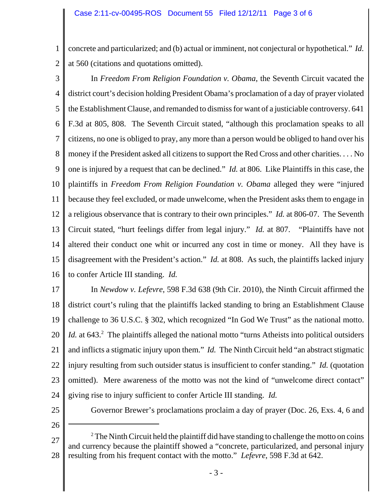1 2 concrete and particularized; and (b) actual or imminent, not conjectural or hypothetical." *Id.* at 560 (citations and quotations omitted).

3 4 5 6 7 8 9 10 11 12 13 14 15 16 In *Freedom From Religion Foundation v. Obama*, the Seventh Circuit vacated the district court's decision holding President Obama's proclamation of a day of prayer violated the Establishment Clause, and remanded to dismiss for want of a justiciable controversy. 641 F.3d at 805, 808. The Seventh Circuit stated, "although this proclamation speaks to all citizens, no one is obliged to pray, any more than a person would be obliged to hand over his money if the President asked all citizens to support the Red Cross and other charities. . . . No one is injured by a request that can be declined." *Id.* at 806. Like Plaintiffs in this case, the plaintiffs in *Freedom From Religion Foundation v. Obama* alleged they were "injured because they feel excluded, or made unwelcome, when the President asks them to engage in a religious observance that is contrary to their own principles." *Id.* at 806-07. The Seventh Circuit stated, "hurt feelings differ from legal injury." *Id.* at 807. "Plaintiffs have not altered their conduct one whit or incurred any cost in time or money. All they have is disagreement with the President's action." *Id.* at 808. As such, the plaintiffs lacked injury to confer Article III standing. *Id.*

17 18 19 20 21 22 23 24 In *Newdow v. Lefevre*, 598 F.3d 638 (9th Cir. 2010), the Ninth Circuit affirmed the district court's ruling that the plaintiffs lacked standing to bring an Establishment Clause challenge to 36 U.S.C. § 302, which recognized "In God We Trust" as the national motto. *Id.* at 643.<sup>2</sup> The plaintiffs alleged the national motto "turns Atheists into political outsiders and inflicts a stigmatic injury upon them." *Id.* The Ninth Circuit held "an abstract stigmatic injury resulting from such outsider status is insufficient to confer standing." *Id.* (quotation omitted). Mere awareness of the motto was not the kind of "unwelcome direct contact" giving rise to injury sufficient to confer Article III standing. *Id.*

25

Governor Brewer's proclamations proclaim a day of prayer (Doc. 26, Exs. 4, 6 and

26

27 28  $2^2$  The Ninth Circuit held the plaintiff did have standing to challenge the motto on coins and currency because the plaintiff showed a "concrete, particularized, and personal injury resulting from his frequent contact with the motto." *Lefevre*, 598 F.3d at 642.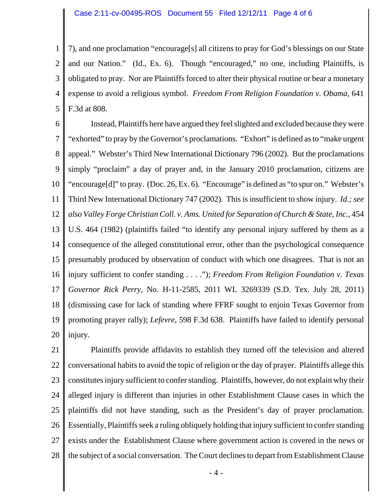1 2 3 4 5 7), and one proclamation "encourage[s] all citizens to pray for God's blessings on our State and our Nation." (Id., Ex. 6). Though "encouraged," no one, including Plaintiffs, is obligated to pray. Nor are Plaintiffs forced to alter their physical routine or bear a monetary expense to avoid a religious symbol. *Freedom From Religion Foundation v. Obama*, 641 F.3d at 808.

6 7 8 9 10 11 12 13 14 15 16 17 18 19 20 Instead, Plaintiffs here have argued they feel slighted and excluded because they were "exhorted" to pray by the Governor's proclamations. "Exhort" is defined as to "make urgent appeal." Webster's Third New International Dictionary 796 (2002). But the proclamations simply "proclaim" a day of prayer and, in the January 2010 proclamation, citizens are "encourage[d]" to pray. (Doc. 26, Ex. 6). "Encourage" is defined as "to spur on." Webster's Third New International Dictionary 747 (2002). This is insufficient to show injury. *Id.; see* also Valley Forge Christian Coll. v. Ams. United for Separation of Church & State, Inc., 454 U.S. 464 (1982) (plaintiffs failed "to identify any personal injury suffered by them as a consequence of the alleged constitutional error, other than the psychological consequence presumably produced by observation of conduct with which one disagrees. That is not an injury sufficient to confer standing . . . ."); *Freedom From Religion Foundation v. Texas Governor Rick Perry,* No. H-11-2585, 2011 WL 3269339 (S.D. Tex. July 28, 2011) (dismissing case for lack of standing where FFRF sought to enjoin Texas Governor from promoting prayer rally); *Lefevre*, 598 F.3d 638. Plaintiffs have failed to identify personal injury.

21 22 23 24 25 26 27 28 Plaintiffs provide affidavits to establish they turned off the television and altered conversational habits to avoid the topic of religion or the day of prayer. Plaintiffs allege this constitutes injury sufficient to confer standing. Plaintiffs, however, do not explain why their alleged injury is different than injuries in other Establishment Clause cases in which the plaintiffs did not have standing, such as the President's day of prayer proclamation. Essentially, Plaintiffs seek a ruling obliquely holding that injury sufficient to confer standing exists under the Establishment Clause where government action is covered in the news or the subject of a social conversation. The Court declines to depart from Establishment Clause

- 4 -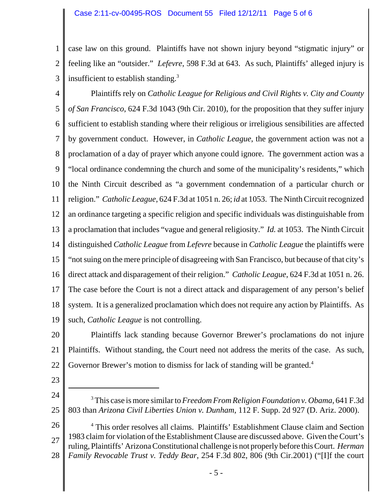1 2 3 case law on this ground. Plaintiffs have not shown injury beyond "stigmatic injury" or feeling like an "outsider." *Lefevre*, 598 F.3d at 643. As such, Plaintiffs' alleged injury is insufficient to establish standing.<sup>3</sup>

4 5 6 7 8 9 10 11 12 13 14 15 16 17 18 19 Plaintiffs rely on *Catholic League for Religious and Civil Rights v. City and County of San Francisco*, 624 F.3d 1043 (9th Cir. 2010), for the proposition that they suffer injury sufficient to establish standing where their religious or irreligious sensibilities are affected by government conduct. However, in *Catholic League*, the government action was not a proclamation of a day of prayer which anyone could ignore. The government action was a "local ordinance condemning the church and some of the municipality's residents," which the Ninth Circuit described as "a government condemnation of a particular church or religion." *Catholic League*, 624 F.3d at 1051 n. 26; *id* at 1053. The Ninth Circuit recognized an ordinance targeting a specific religion and specific individuals was distinguishable from a proclamation that includes "vague and general religiosity." *Id.* at 1053. The Ninth Circuit distinguished *Catholic League* from *Lefevre* because in *Catholic League* the plaintiffs were "not suing on the mere principle of disagreeing with San Francisco, but because of that city's direct attack and disparagement of their religion." *Catholic League*, 624 F.3d at 1051 n. 26. The case before the Court is not a direct attack and disparagement of any person's belief system. It is a generalized proclamation which does not require any action by Plaintiffs. As such, *Catholic League* is not controlling.

20 21 22 Plaintiffs lack standing because Governor Brewer's proclamations do not injure Plaintiffs. Without standing, the Court need not address the merits of the case. As such, Governor Brewer's motion to dismiss for lack of standing will be granted.<sup>4</sup>

- 23
- 24 25 3 This case is more similar to *Freedom From Religion Foundation v. Obama*, 641 F.3d 803 than *Arizona Civil Liberties Union v. Dunham*, 112 F. Supp. 2d 927 (D. Ariz. 2000).

26 27 28 <sup>4</sup> This order resolves all claims. Plaintiffs' Establishment Clause claim and Section 1983 claim for violation of the Establishment Clause are discussed above. Given the Court's ruling, Plaintiffs' Arizona Constitutional challenge is not properly before this Court. *Herman Family Revocable Trust v. Teddy Bear*, 254 F.3d 802, 806 (9th Cir.2001) ("[I]f the court